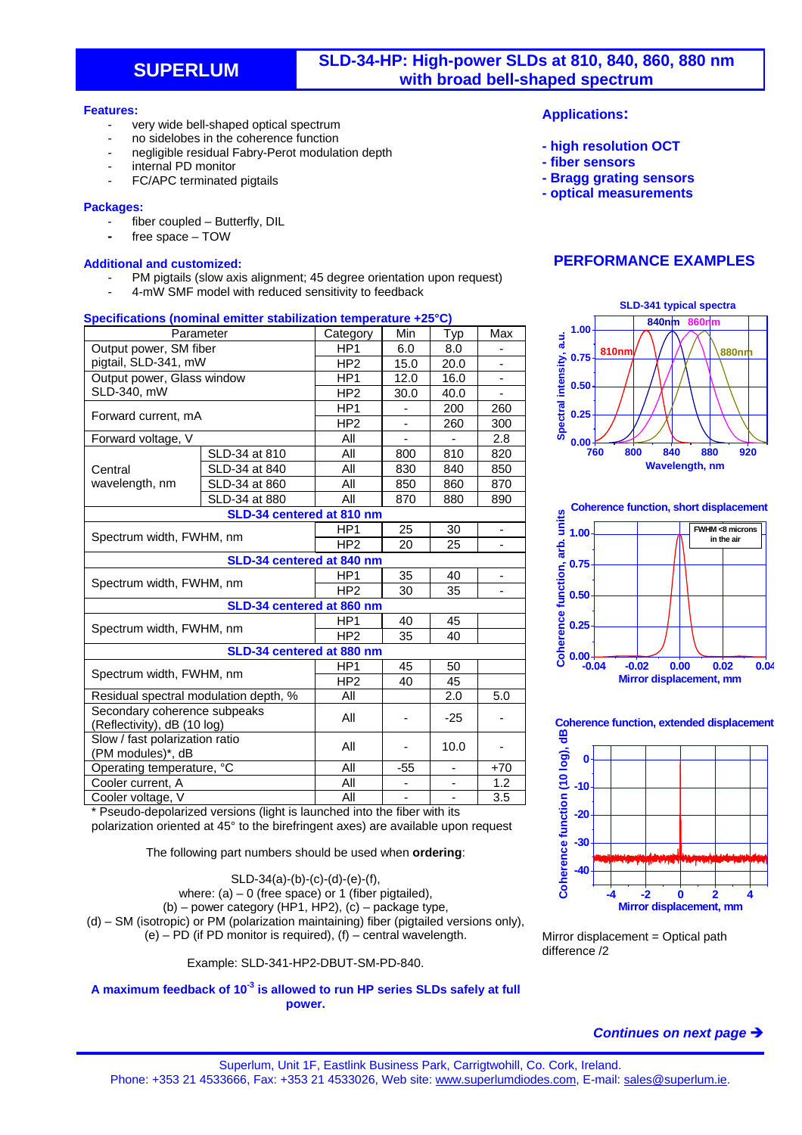# **SUPERLUM SLD-34-HP: High-power SLDs at 810, 840, 860, 880 nm with broad bell-shaped spectrum**

#### **Features:**

- very wide bell-shaped optical spectrum
- no sidelobes in the coherence function
- negligible residual Fabry-Perot modulation depth
- internal PD monitor
- FC/APC terminated pigtails

#### **Packages:**

- fiber coupled Butterfly, DIL
- free space TOW

#### **Additional and customized:**

- PM pigtails (slow axis alignment; 45 degree orientation upon request)
- 4-mW SMF model with reduced sensitivity to feedback

# **Specifications (nominal emitter stabilization temperature +25°C)**

| Parameter                                                   |               | Category        | Min  | Typ   | Max                      |
|-------------------------------------------------------------|---------------|-----------------|------|-------|--------------------------|
| Output power, SM fiber                                      |               | HP <sub>1</sub> | 6.0  | 8.0   |                          |
| pigtail, SLD-341, mW                                        |               | HP <sub>2</sub> | 15.0 | 20.0  |                          |
| Output power, Glass window                                  |               | HP <sub>1</sub> | 12.0 | 16.0  |                          |
| SLD-340, mW                                                 |               | HP <sub>2</sub> | 30.0 | 40.0  | $\overline{\phantom{a}}$ |
| Forward current, mA                                         |               | HP <sub>1</sub> |      | 200   | 260                      |
|                                                             |               | HP <sub>2</sub> |      | 260   | 300                      |
| Forward voltage, V                                          |               | All             |      |       | 2.8                      |
| Central<br>wavelength, nm                                   | SLD-34 at 810 | All             | 800  | 810   | 820                      |
|                                                             | SLD-34 at 840 | All             | 830  | 840   | 850                      |
|                                                             | SLD-34 at 860 | All             | 850  | 860   | 870                      |
|                                                             | SLD-34 at 880 | All             | 870  | 880   | 890                      |
| SLD-34 centered at 810 nm                                   |               |                 |      |       |                          |
| Spectrum width, FWHM, nm                                    |               | HP1             | 25   | 30    |                          |
|                                                             |               | HP <sub>2</sub> | 20   | 25    | $\overline{\phantom{0}}$ |
| SLD-34 centered at 840 nm                                   |               |                 |      |       |                          |
| Spectrum width, FWHM, nm                                    |               | HP <sub>1</sub> | 35   | 40    |                          |
|                                                             |               | HP <sub>2</sub> | 30   | 35    | $\overline{\phantom{0}}$ |
| SLD-34 centered at 860 nm                                   |               |                 |      |       |                          |
| Spectrum width, FWHM, nm                                    |               | HP <sub>1</sub> | 40   | 45    |                          |
|                                                             |               | HP <sub>2</sub> | 35   | 40    |                          |
| SLD-34 centered at 880 nm                                   |               |                 |      |       |                          |
| Spectrum width, FWHM, nm                                    |               | HP <sub>1</sub> | 45   | 50    |                          |
|                                                             |               | HP <sub>2</sub> | 40   | 45    |                          |
| Residual spectral modulation depth, %                       |               | All             |      | 2.0   | 5.0                      |
| Secondary coherence subpeaks<br>(Reflectivity), dB (10 log) |               | All             |      | $-25$ |                          |
| Slow / fast polarization ratio<br>(PM modules)*, dB         |               | All             |      | 10.0  |                          |
| Operating temperature, °C                                   |               | All             | -55  | -     | +70                      |
| Cooler current, A                                           |               | All             |      |       | 1.2                      |
| Cooler voltage, V                                           |               | All             | -    | ä,    | 3.5                      |

\* Pseudo-depolarized versions (light is launched into the fiber with its polarization oriented at 45° to the birefringent axes) are available upon request

The following part numbers should be used when **ordering**:

SLD-34(a)-(b)-(c)-(d)-(e)-(f), where:  $(a) - 0$  (free space) or 1 (fiber pigtailed), (b) – power category (HP1, HP2), (c) – package type, (d) – SM (isotropic) or PM (polarization maintaining) fiber (pigtailed versions only),  $(e)$  – PD (if PD monitor is required), (f) – central wavelength.

Example: SLD-341-HP2-DBUT-SM-PD-840.

A maximum feedback of 10<sup>-3</sup> is allowed to run HP series SLDs safely at full **power.** 

#### **Applications:**

- **high resolution OCT**
- **fiber sensors**
- **Bragg grating sensors**
- **optical measurements**

#### **PERFORMANCE EXAMPLES**





**-30 -20 -10 0** Coherence function, extended displacement<br>  $\frac{65}{5}$ <br>  $\frac{65}{5}$ <br>  $\frac{10}{5}$ <br>  $\frac{10}{20}$ <br>  $\frac{10}{4}$ <br>  $\frac{10}{20}$ <br>  $\frac{10}{4}$ <br>  $\frac{12}{20}$ <br>  $\frac{2}{4}$ <br>  $\frac{4}{4}$ <br>  $\frac{2}{4}$ <br>  $\frac{2}{4}$ <br>  $\frac{2}{4}$ <br>  $\frac{4}{4}$ **Coherence function (10 log), dB**



difference /2

### *Continues on next page*